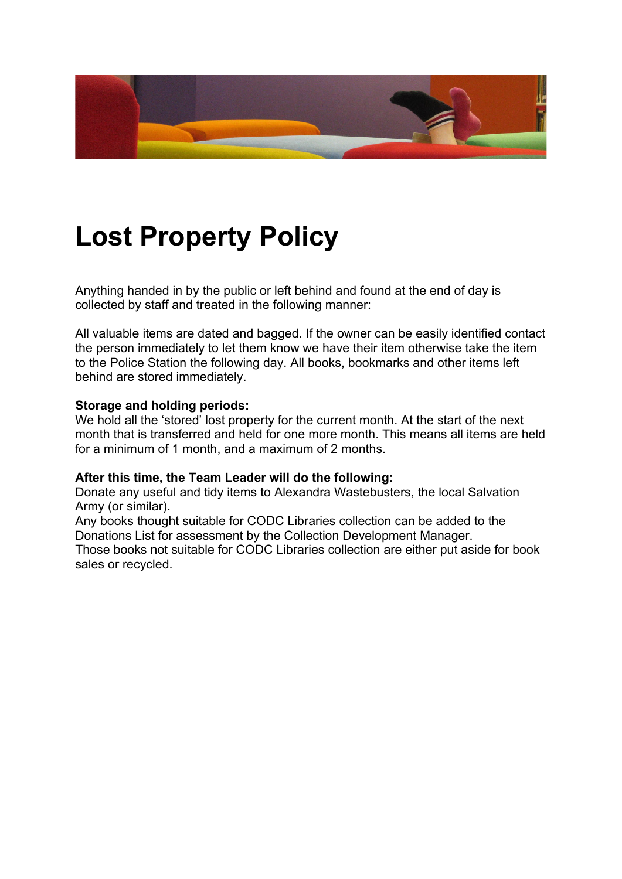

# **Lost Property Policy**

Anything handed in by the public or left behind and found at the end of day is collected by staff and treated in the following manner:

All valuable items are dated and bagged. If the owner can be easily identified contact the person immediately to let them know we have their item otherwise take the item to the Police Station the following day. All books, bookmarks and other items left behind are stored immediately.

### **Storage and holding periods:**

We hold all the 'stored' lost property for the current month. At the start of the next month that is transferred and held for one more month. This means all items are held for a minimum of 1 month, and a maximum of 2 months.

#### **After this time, the Team Leader will do the following:**

Donate any useful and tidy items to Alexandra Wastebusters, the local Salvation Army (or similar).

Any books thought suitable for CODC Libraries collection can be added to the Donations List for assessment by the Collection Development Manager. Those books not suitable for CODC Libraries collection are either put aside for book sales or recycled.